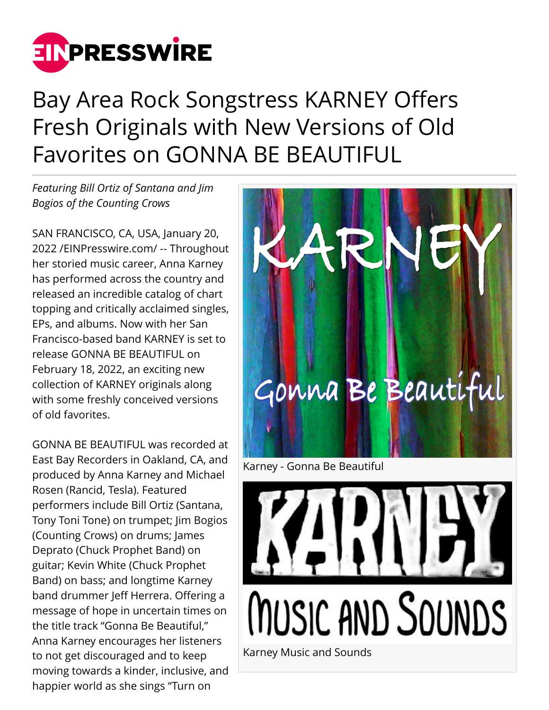

## Bay Area Rock Songstress KARNEY Offers Fresh Originals with New Versions of Old Favorites on GONNA BE BEAUTIFUL

*Featuring Bill Ortiz of Santana and Jim Bogios of the Counting Crows*

SAN FRANCISCO, CA, USA, January 20, 2022 /[EINPresswire.com](http://www.einpresswire.com)/ -- Throughout her storied music career, Anna Karney has performed across the country and released an incredible catalog of chart topping and critically acclaimed singles, EPs, and albums. Now with her San Francisco-based band KARNEY is set to release GONNA BE BEAUTIFUL on February 18, 2022, an exciting new collection of KARNEY originals along with some freshly conceived versions of old favorites.

GONNA BE BEAUTIFUL was recorded at East Bay Recorders in Oakland, CA, and produced by Anna Karney and Michael Rosen (Rancid, Tesla). Featured performers include Bill Ortiz (Santana, Tony Toni Tone) on trumpet; Jim Bogios (Counting Crows) on drums; James Deprato (Chuck Prophet Band) on guitar; Kevin White (Chuck Prophet Band) on bass; and longtime Karney band drummer Jeff Herrera. Offering a message of hope in uncertain times on the title track "Gonna Be Beautiful," Anna Karney encourages her listeners to not get discouraged and to keep moving towards a kinder, inclusive, and happier world as she sings "Turn on



MUSIC AND SOUNDS

Karney Music and Sounds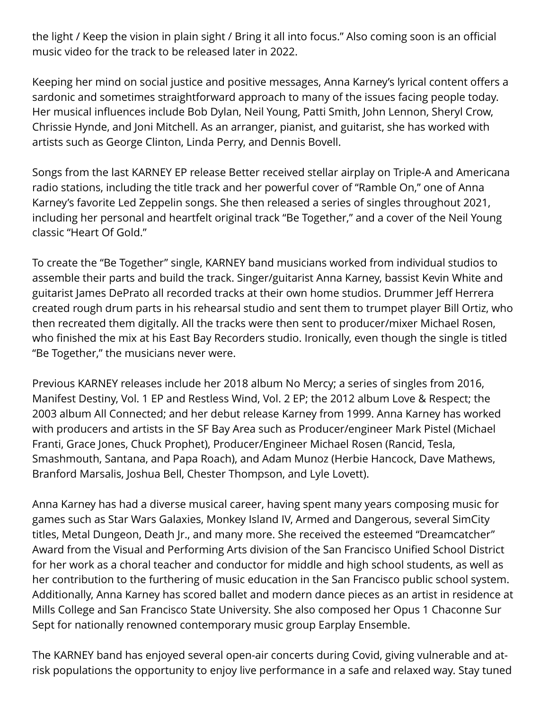the light / Keep the vision in plain sight / Bring it all into focus." Also coming soon is an official music video for the track to be released later in 2022.

Keeping her mind on social justice and positive messages, Anna Karney's lyrical content offers a sardonic and sometimes straightforward approach to many of the issues facing people today. Her musical influences include Bob Dylan, Neil Young, Patti Smith, John Lennon, Sheryl Crow, Chrissie Hynde, and Joni Mitchell. As an arranger, pianist, and guitarist, she has worked with artists such as George Clinton, Linda Perry, and Dennis Bovell.

Songs from the last KARNEY EP release Better received stellar airplay on Triple-A and Americana radio stations, including the title track and her powerful cover of "Ramble On," one of Anna Karney's favorite Led Zeppelin songs. She then released a series of singles throughout 2021, including her personal and heartfelt original track "Be Together," and a cover of the Neil Young classic "Heart Of Gold."

To create the "Be Together" single, KARNEY band musicians worked from individual studios to assemble their parts and build the track. Singer/guitarist Anna Karney, bassist Kevin White and guitarist James DePrato all recorded tracks at their own home studios. Drummer Jeff Herrera created rough drum parts in his rehearsal studio and sent them to trumpet player Bill Ortiz, who then recreated them digitally. All the tracks were then sent to producer/mixer Michael Rosen, who finished the mix at his East Bay Recorders studio. Ironically, even though the single is titled "Be Together," the musicians never were.

Previous KARNEY releases include her 2018 album No Mercy; a series of singles from 2016, Manifest Destiny, Vol. 1 EP and Restless Wind, Vol. 2 EP; the 2012 album Love & Respect; the 2003 album All Connected; and her debut release Karney from 1999. Anna Karney has worked with producers and artists in the SF Bay Area such as Producer/engineer Mark Pistel (Michael Franti, Grace Jones, Chuck Prophet), Producer/Engineer Michael Rosen (Rancid, Tesla, Smashmouth, Santana, and Papa Roach), and Adam Munoz (Herbie Hancock, Dave Mathews, Branford Marsalis, Joshua Bell, Chester Thompson, and Lyle Lovett).

Anna Karney has had a diverse musical career, having spent many years composing music for games such as Star Wars Galaxies, Monkey Island IV, Armed and Dangerous, several SimCity titles, Metal Dungeon, Death Jr., and many more. She received the esteemed "Dreamcatcher" Award from the Visual and Performing Arts division of the San Francisco Unified School District for her work as a choral teacher and conductor for middle and high school students, as well as her contribution to the furthering of music education in the San Francisco public school system. Additionally, Anna Karney has scored ballet and modern dance pieces as an artist in residence at Mills College and San Francisco State University. She also composed her Opus 1 Chaconne Sur Sept for nationally renowned contemporary music group Earplay Ensemble.

The KARNEY band has enjoyed several open-air concerts during Covid, giving vulnerable and atrisk populations the opportunity to enjoy live performance in a safe and relaxed way. Stay tuned